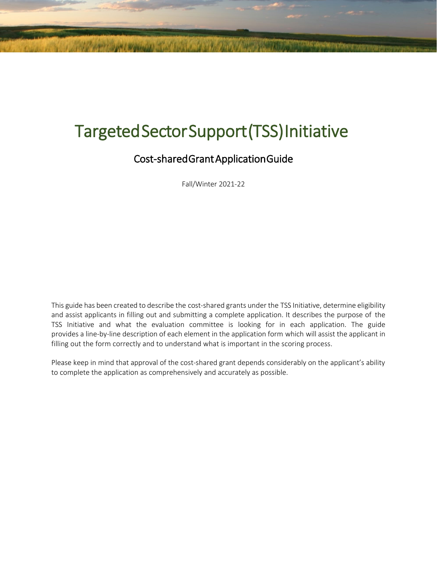# Targeted Sector Support (TSS) Initiative

# Cost-shared Grant Application Guide

Fall/Winter 2021-22

This guide has been created to describe the cost-shared grants under the TSS Initiative, determine eligibility and assist applicants in filling out and submitting a complete application. It describes the purpose of the TSS Initiative and what the evaluation committee is looking for in each application. The guide provides a line-by-line description of each element in the application form which will assist the applicant in filling out the form correctly and to understand what is important in the scoring process.

Please keep in mind that approval of the cost-shared grant depends considerably on the applicant's ability to complete the application as comprehensively and accurately as possible.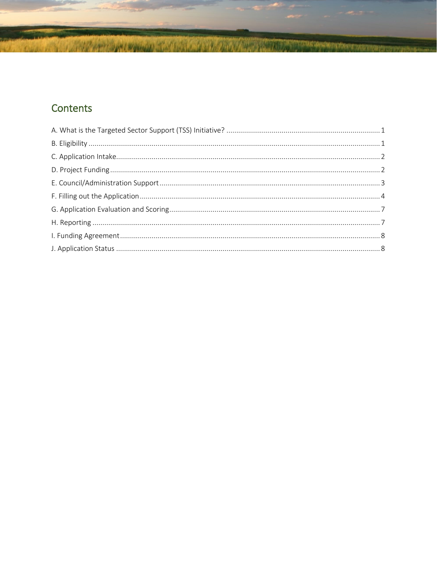# Contents

The company of the company of the company of the company of the company of the company of the company of the company of the company of the company of the company of the company of the company of the company of the company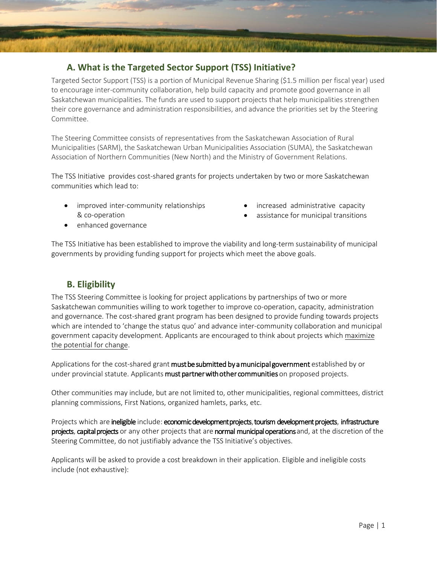## <span id="page-2-0"></span>**1 A. What is the Targeted Sector Support (TSS) Initiative?**

Targeted Sector Support (TSS) is a portion of Municipal Revenue Sharing (\$1.5 million per fiscal year) used to encourage inter-community collaboration, help build capacity and promote good governance in all Saskatchewan municipalities. The funds are used to support projects that help municipalities strengthen their core governance and administration responsibilities, and advance the priorities set by the Steering Committee.

The Steering Committee consists of representatives from the Saskatchewan Association of Rural Municipalities (SARM), the Saskatchewan Urban Municipalities Association (SUMA), the Saskatchewan Association of Northern Communities (New North) and the Ministry of Government Relations.

The TSS Initiative provides cost-shared grants for projects undertaken by two or more Saskatchewan communities which lead to:

- improved inter-community relationships & co-operation
- increased administrative capacity
- assistance for municipal transitions

• enhanced governance

The TSS Initiative has been established to improve the viability and long-term sustainability of municipal governments by providing funding support for projects which meet the above goals.

#### <span id="page-2-1"></span>**2 B. Eligibility**

The TSS Steering Committee is looking for project applications by partnerships of two or more Saskatchewan communities willing to work together to improve co-operation, capacity, administration and governance. The cost-shared grant program has been designed to provide funding towards projects which are intended to 'change the status quo' and advance inter-community collaboration and municipal government capacity development. Applicants are encouraged to think about projects which maximize the potential for change.

Applications for the cost-shared grant must be submitted by a municipal government established by or under provincial statute. Applicants must partner with other communities on proposed projects.

Other communities may include, but are not limited to, other municipalities, regional committees, district planning commissions, First Nations, organized hamlets, parks, etc.

Projects which are ineligible include: economic development projects, tourism development projects, infrastructure projects, capital projects or any other projects that are normal municipal operations and, at the discretion of the Steering Committee, do not justifiably advance the TSS Initiative's objectives.

Applicants will be asked to provide a cost breakdown in their application. Eligible and ineligible costs include (not exhaustive):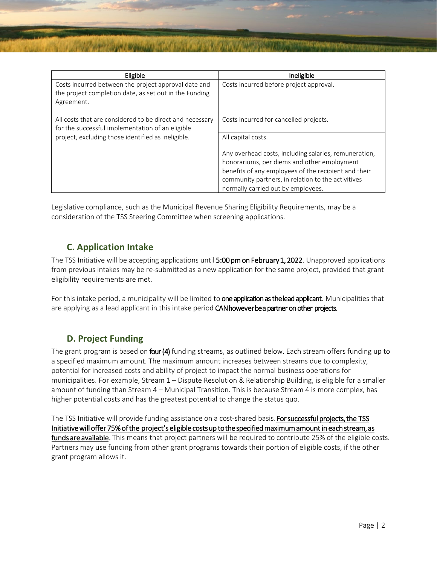| Eligible                                                 | Ineligible                                            |
|----------------------------------------------------------|-------------------------------------------------------|
| Costs incurred between the project approval date and     | Costs incurred before project approval.               |
| the project completion date, as set out in the Funding   |                                                       |
| Agreement.                                               |                                                       |
|                                                          |                                                       |
| All costs that are considered to be direct and necessary | Costs incurred for cancelled projects.                |
| for the successful implementation of an eligible         |                                                       |
| project, excluding those identified as ineligible.       | All capital costs.                                    |
|                                                          |                                                       |
|                                                          | Any overhead costs, including salaries, remuneration, |
|                                                          | honorariums, per diems and other employment           |
|                                                          | benefits of any employees of the recipient and their  |
|                                                          | community partners, in relation to the activitives    |
|                                                          | normally carried out by employees.                    |

Legislative compliance, such as the Municipal Revenue Sharing Eligibility Requirements, may be a consideration of the TSS Steering Committee when screening applications.

#### <span id="page-3-0"></span>**3 C. Application Intake**

The TSS Initiative will be accepting applications until 5:00 pm on February 1, 2022. Unapproved applications from previous intakes may be re-submitted as a new application for the same project, provided that grant eligibility requirements are met.

For this intake period, a municipality will be limited to one application as the lead applicant. Municipalities that are applying as a lead applicant in this intake period **CAN however be a partner on other projects.** 

#### <span id="page-3-1"></span>**4 D. Project Funding**

The grant program is based on **four (4)** funding streams, as outlined below. Each stream offers funding up to a specified maximum amount. The maximum amount increases between streams due to complexity, potential for increased costs and ability of project to impact the normal business operations for municipalities. For example, Stream 1 – Dispute Resolution & Relationship Building, is eligible for a smaller amount of funding than Stream 4 – Municipal Transition. This is because Stream 4 is more complex, has higher potential costs and has the greatest potential to change the status quo.

The TSS Initiative will provide funding assistance on a cost-shared basis. For successful projects, the TSS Initiative will offer 75% of the project's eligible costs up to the specified maximum amount in each stream, as funds are available. This means that project partners will be required to contribute 25% of the eligible costs. Partners may use funding from other grant programs towards their portion of eligible costs, if the other grant program allows it.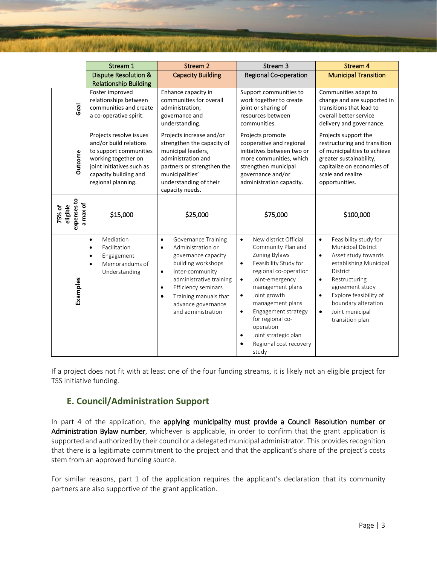|                                               | Stream 1                                                                                                                                                                       | Stream 2                                                                                                                                                                                                                                                                                                | Stream 3                                                                                                                                                                                                                                                                                                                                                                                   | <b>Stream 4</b>                                                                                                                                                                                                                                                                              |
|-----------------------------------------------|--------------------------------------------------------------------------------------------------------------------------------------------------------------------------------|---------------------------------------------------------------------------------------------------------------------------------------------------------------------------------------------------------------------------------------------------------------------------------------------------------|--------------------------------------------------------------------------------------------------------------------------------------------------------------------------------------------------------------------------------------------------------------------------------------------------------------------------------------------------------------------------------------------|----------------------------------------------------------------------------------------------------------------------------------------------------------------------------------------------------------------------------------------------------------------------------------------------|
|                                               | <b>Dispute Resolution &amp;</b>                                                                                                                                                | <b>Capacity Building</b>                                                                                                                                                                                                                                                                                | <b>Regional Co-operation</b>                                                                                                                                                                                                                                                                                                                                                               | <b>Municipal Transition</b>                                                                                                                                                                                                                                                                  |
|                                               | <b>Relationship Building</b>                                                                                                                                                   |                                                                                                                                                                                                                                                                                                         |                                                                                                                                                                                                                                                                                                                                                                                            |                                                                                                                                                                                                                                                                                              |
| Goal                                          | Foster improved<br>relationships between<br>communities and create<br>a co-operative spirit.                                                                                   | Enhance capacity in<br>communities for overall<br>administration,<br>governance and<br>understanding.                                                                                                                                                                                                   | Support communities to<br>work together to create<br>joint or sharing of<br>resources between<br>communities.                                                                                                                                                                                                                                                                              | Communities adapt to<br>change and are supported in<br>transitions that lead to<br>overall better service<br>delivery and governance.                                                                                                                                                        |
| <b>Outcome</b>                                | Projects resolve issues<br>and/or build relations<br>to support communities<br>working together on<br>joint initiatives such as<br>capacity building and<br>regional planning. | Projects increase and/or<br>strengthen the capacity of<br>municipal leaders,<br>administration and<br>partners or strengthen the<br>municipalities'<br>understanding of their<br>capacity needs.                                                                                                        | Projects promote<br>cooperative and regional<br>initiatives between two or<br>more communities, which<br>strengthen municipal<br>governance and/or<br>administration capacity.                                                                                                                                                                                                             | Projects support the<br>restructuring and transition<br>of municipalities to achieve<br>greater sustainability,<br>capitalize on economies of<br>scale and realize<br>opportunities.                                                                                                         |
| expenses to<br>a max of<br>eligible<br>75% of | \$15,000                                                                                                                                                                       | \$25,000                                                                                                                                                                                                                                                                                                | \$75,000                                                                                                                                                                                                                                                                                                                                                                                   | \$100,000                                                                                                                                                                                                                                                                                    |
| Examples                                      | Mediation<br>$\bullet$<br>Facilitation<br>$\bullet$<br>Engagement<br>$\bullet$<br>Memorandums of<br>$\bullet$<br>Understanding                                                 | <b>Governance Training</b><br>$\bullet$<br>Administration or<br>$\bullet$<br>governance capacity<br>building workshops<br>Inter-community<br>$\bullet$<br>administrative training<br>Efficiency seminars<br>$\bullet$<br>Training manuals that<br>$\bullet$<br>advance governance<br>and administration | New district Official<br>$\bullet$<br>Community Plan and<br>Zoning Bylaws<br>Feasibility Study for<br>$\bullet$<br>regional co-operation<br>Joint-emergency<br>$\bullet$<br>management plans<br>Joint growth<br>$\bullet$<br>management plans<br>Engagement strategy<br>$\bullet$<br>for regional co-<br>operation<br>Joint strategic plan<br>$\bullet$<br>Regional cost recovery<br>study | Feasibility study for<br>$\bullet$<br>Municipal District<br>Asset study towards<br>٠<br>establishing Municipal<br>District<br>Restructuring<br>$\bullet$<br>agreement study<br>Explore feasibility of<br>$\bullet$<br>boundary alteration<br>Joint municipal<br>$\bullet$<br>transition plan |

If a project does not fit with at least one of the four funding streams, it is likely not an eligible project for TSS Initiative funding.

#### <span id="page-4-0"></span>**E. Council/Administration Support**

In part 4 of the application, the applying municipality must provide a Council Resolution number or Administration Bylaw number, whichever is applicable, in order to confirm that the grant application is supported and authorized by their council or a delegated municipal administrator. This provides recognition that there is a legitimate commitment to the project and that the applicant's share of the project's costs stem from an approved funding source.

For similar reasons, part 1 of the application requires the applicant's declaration that its community partners are also supportive of the grant application.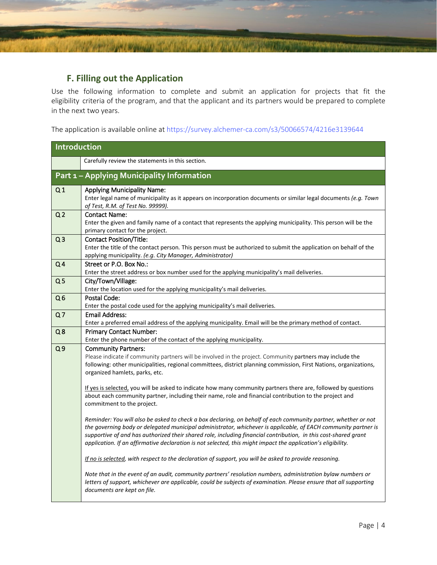#### <span id="page-5-0"></span>**F. Filling out the Application**

Use the following information to complete and submit an application for projects that fit the eligibility criteria of the program, and that the applicant and its partners would be prepared to complete in the next two years.

The application is available online at [https://survey.alchemer-ca.com/s3/50066574/4216e3139644](https://survey.alchemer-ca.com/s3/50066574/4eebb11a29fb)

| Introduction   |                                                                                                                                                                                                                                                                                                                                                                                                                                                                     |
|----------------|---------------------------------------------------------------------------------------------------------------------------------------------------------------------------------------------------------------------------------------------------------------------------------------------------------------------------------------------------------------------------------------------------------------------------------------------------------------------|
|                | Carefully review the statements in this section.                                                                                                                                                                                                                                                                                                                                                                                                                    |
|                | Part 1 - Applying Municipality Information                                                                                                                                                                                                                                                                                                                                                                                                                          |
| Q <sub>1</sub> | <b>Applying Municipality Name:</b><br>Enter legal name of municipality as it appears on incorporation documents or similar legal documents (e.g. Town<br>of Test, R.M. of Test No. 99999).                                                                                                                                                                                                                                                                          |
| Q <sub>2</sub> | <b>Contact Name:</b><br>Enter the given and family name of a contact that represents the applying municipality. This person will be the<br>primary contact for the project.                                                                                                                                                                                                                                                                                         |
| Q <sub>3</sub> | <b>Contact Position/Title:</b><br>Enter the title of the contact person. This person must be authorized to submit the application on behalf of the<br>applying municipality. (e.g. City Manager, Administrator)                                                                                                                                                                                                                                                     |
| Q <sub>4</sub> | Street or P.O. Box No.:<br>Enter the street address or box number used for the applying municipality's mail deliveries.                                                                                                                                                                                                                                                                                                                                             |
| Q <sub>5</sub> | City/Town/Village:<br>Enter the location used for the applying municipality's mail deliveries.                                                                                                                                                                                                                                                                                                                                                                      |
| Q <sub>6</sub> | Postal Code:<br>Enter the postal code used for the applying municipality's mail deliveries.                                                                                                                                                                                                                                                                                                                                                                         |
| Q <sub>7</sub> | <b>Email Address:</b><br>Enter a preferred email address of the applying municipality. Email will be the primary method of contact.                                                                                                                                                                                                                                                                                                                                 |
| Q8             | <b>Primary Contact Number:</b><br>Enter the phone number of the contact of the applying municipality.                                                                                                                                                                                                                                                                                                                                                               |
| Q <sub>9</sub> | <b>Community Partners:</b><br>Please indicate if community partners will be involved in the project. Community partners may include the<br>following: other municipalities, regional committees, district planning commission, First Nations, organizations,<br>organized hamlets, parks, etc.                                                                                                                                                                      |
|                | If yes is selected, you will be asked to indicate how many community partners there are, followed by questions<br>about each community partner, including their name, role and financial contribution to the project and<br>commitment to the project.                                                                                                                                                                                                              |
|                | Reminder: You will also be asked to check a box declaring, on behalf of each community partner, whether or not<br>the governing body or delegated municipal administrator, whichever is applicable, of EACH community partner is<br>supportive of and has authorized their shared role, including financial contribution, in this cost-shared grant<br>application. If an affirmative declaration is not selected, this might impact the application's eligibility. |
|                | If no is selected, with respect to the declaration of support, you will be asked to provide reasoning.                                                                                                                                                                                                                                                                                                                                                              |
|                | Note that in the event of an audit, community partners' resolution numbers, administration bylaw numbers or<br>letters of support, whichever are applicable, could be subjects of examination. Please ensure that all supporting<br>documents are kept on file.                                                                                                                                                                                                     |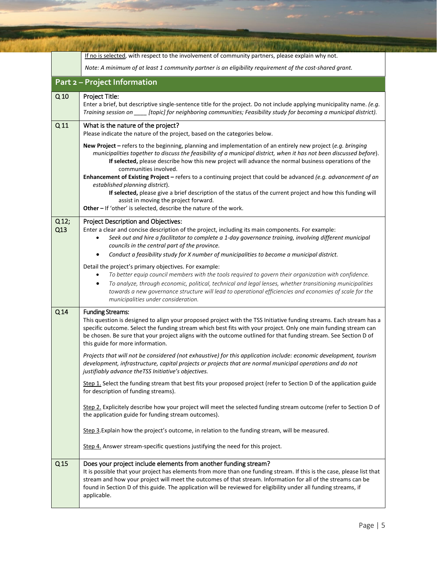|                 | If no is selected, with respect to the involvement of community partners, please explain why not.                                                                                                                                                                                                                                                                                                                                                                                                                          |
|-----------------|----------------------------------------------------------------------------------------------------------------------------------------------------------------------------------------------------------------------------------------------------------------------------------------------------------------------------------------------------------------------------------------------------------------------------------------------------------------------------------------------------------------------------|
|                 | Note: A minimum of at least 1 community partner is an eligibility requirement of the cost-shared grant.                                                                                                                                                                                                                                                                                                                                                                                                                    |
|                 | <b>Part 2 - Project Information</b>                                                                                                                                                                                                                                                                                                                                                                                                                                                                                        |
| Q <sub>10</sub> | Project Title:<br>Enter a brief, but descriptive single-sentence title for the project. Do not include applying municipality name. (e.g.<br>Training session on _____ [topic] for neighboring communities; Feasibility study for becoming a municipal district).                                                                                                                                                                                                                                                           |
| Q <sub>11</sub> | What is the nature of the project?<br>Please indicate the nature of the project, based on the categories below.                                                                                                                                                                                                                                                                                                                                                                                                            |
|                 | New Project - refers to the beginning, planning and implementation of an entirely new project (e.g. bringing<br>municipalities together to discuss the feasibility of a municipal district, when it has not been discussed before).<br>If selected, please describe how this new project will advance the normal business operations of the<br>communities involved.<br>Enhancement of Existing Project - refers to a continuing project that could be advanced (e.g. advancement of an<br>established planning district). |
|                 | If selected, please give a brief description of the status of the current project and how this funding will<br>assist in moving the project forward.<br>Other - If 'other' is selected, describe the nature of the work.                                                                                                                                                                                                                                                                                                   |
| $Q12$ ;<br>Q13  | <b>Project Description and Objectives:</b><br>Enter a clear and concise description of the project, including its main components. For example:<br>Seek out and hire a facilitator to complete a 1-day governance training, involving different municipal<br>councils in the central part of the province.<br>Conduct a feasibility study for X number of municipalities to become a municipal district.                                                                                                                   |
|                 | Detail the project's primary objectives. For example:<br>To better equip council members with the tools required to govern their organization with confidence.<br>To analyze, through economic, political, technical and legal lenses, whether transitioning municipalities<br>٠<br>towards a new governance structure will lead to operational efficiencies and economies of scale for the<br>municipalities under consideration.                                                                                         |
| Q <sub>14</sub> | <b>Funding Streams:</b><br>This question is designed to align your proposed project with the TSS Initiative funding streams. Each stream has a<br>specific outcome. Select the funding stream which best fits with your project. Only one main funding stream can<br>be chosen. Be sure that your project aligns with the outcome outlined for that funding stream. See Section D of<br>this guide for more information.                                                                                                   |
|                 | Projects that will not be considered (not exhaustive) for this application include: economic development, tourism<br>development, infrastructure, capital projects or projects that are normal municipal operations and do not<br>justifiably advance the TSS Initiative's objectives.                                                                                                                                                                                                                                     |
|                 | Step 1. Select the funding stream that best fits your proposed project (refer to Section D of the application guide<br>for description of funding streams).                                                                                                                                                                                                                                                                                                                                                                |
|                 | Step 2. Explicitely describe how your project will meet the selected funding stream outcome (refer to Section D of<br>the application guide for funding stream outcomes).                                                                                                                                                                                                                                                                                                                                                  |
|                 | Step 3. Explain how the project's outcome, in relation to the funding stream, will be measured.                                                                                                                                                                                                                                                                                                                                                                                                                            |
|                 | Step 4. Answer stream-specific questions justifying the need for this project.                                                                                                                                                                                                                                                                                                                                                                                                                                             |
| Q <sub>15</sub> | Does your project include elements from another funding stream?<br>It is possible that your project has elements from more than one funding stream. If this is the case, please list that<br>stream and how your project will meet the outcomes of that stream. Information for all of the streams can be<br>found in Section D of this guide. The application will be reviewed for eligibility under all funding streams, if<br>applicable.                                                                               |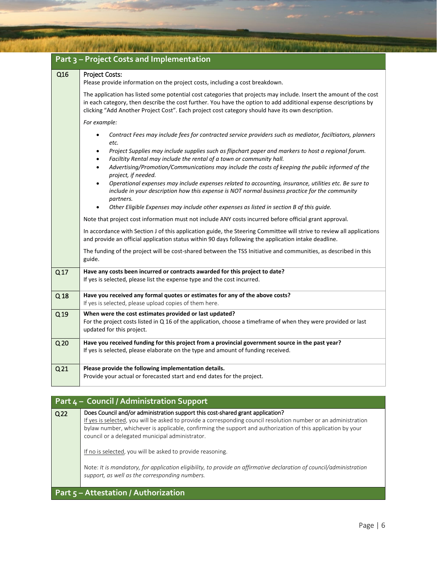|                 | Part 3 - Project Costs and Implementation                                                                                                                                                                                                                                                                                                 |
|-----------------|-------------------------------------------------------------------------------------------------------------------------------------------------------------------------------------------------------------------------------------------------------------------------------------------------------------------------------------------|
| Q16             | <b>Project Costs:</b><br>Please provide information on the project costs, including a cost breakdown.                                                                                                                                                                                                                                     |
|                 | The application has listed some potential cost categories that projects may include. Insert the amount of the cost<br>in each category, then describe the cost further. You have the option to add additional expense descriptions by<br>clicking "Add Another Project Cost". Each project cost category should have its own description. |
|                 | For example:                                                                                                                                                                                                                                                                                                                              |
|                 | Contract Fees may include fees for contracted service providers such as mediator, faciltiators, planners<br>etc.                                                                                                                                                                                                                          |
|                 | Project Supplies may include supplies such as flipchart paper and markers to host a regional forum.<br>٠<br>Faciltity Rental may include the rental of a town or community hall.<br>٠                                                                                                                                                     |
|                 | Advertising/Promotion/Communications may include the costs of keeping the public informed of the<br>$\bullet$<br>project, if needed.                                                                                                                                                                                                      |
|                 | Operational expenses may include expenses related to accounting, insurance, utilities etc. Be sure to<br>$\bullet$<br>include in your description how this expense is NOT normal business practice for the community<br>partners.                                                                                                         |
|                 | Other Eligible Expenses may include other expenses as listed in section B of this guide.                                                                                                                                                                                                                                                  |
|                 | Note that project cost information must not include ANY costs incurred before official grant approval.                                                                                                                                                                                                                                    |
|                 | In accordance with Section J of this application guide, the Steering Committee will strive to review all applications<br>and provide an official application status within 90 days following the application intake deadline.                                                                                                             |
|                 | The funding of the project will be cost-shared between the TSS Initiative and communities, as described in this<br>guide.                                                                                                                                                                                                                 |
| Q <sub>17</sub> | Have any costs been incurred or contracts awarded for this project to date?<br>If yes is selected, please list the expense type and the cost incurred.                                                                                                                                                                                    |
| Q <sub>18</sub> | Have you received any formal quotes or estimates for any of the above costs?<br>If yes is selected, please upload copies of them here.                                                                                                                                                                                                    |
| Q <sub>19</sub> | When were the cost estimates provided or last updated?<br>For the project costs listed in Q 16 of the application, choose a timeframe of when they were provided or last<br>updated for this project.                                                                                                                                     |
| Q <sub>20</sub> | Have you received funding for this project from a provincial government source in the past year?<br>If yes is selected, please elaborate on the type and amount of funding received.                                                                                                                                                      |
| Q <sub>21</sub> | Please provide the following implementation details.<br>Provide your actual or forecasted start and end dates for the project.                                                                                                                                                                                                            |

| Part 4 - Council / Administration Support |                                                                                                                                                                                                                                                                                                                                                                                                                                                                                                                                                          |
|-------------------------------------------|----------------------------------------------------------------------------------------------------------------------------------------------------------------------------------------------------------------------------------------------------------------------------------------------------------------------------------------------------------------------------------------------------------------------------------------------------------------------------------------------------------------------------------------------------------|
| Q <sub>22</sub>                           | Does Council and/or administration support this cost-shared grant application?<br>If yes is selected, you will be asked to provide a corresponding council resolution number or an administration<br>bylaw number, whichever is applicable, confirming the support and authorization of this application by your<br>council or a delegated municipal administrator.<br>If no is selected, you will be asked to provide reasoning.<br>Note: It is mandatory, for application eligibility, to provide an affirmative declaration of council/administration |
|                                           | support, as well as the corresponding numbers.                                                                                                                                                                                                                                                                                                                                                                                                                                                                                                           |
|                                           | <b>Part <math>5</math> – Attestation / Authorization</b>                                                                                                                                                                                                                                                                                                                                                                                                                                                                                                 |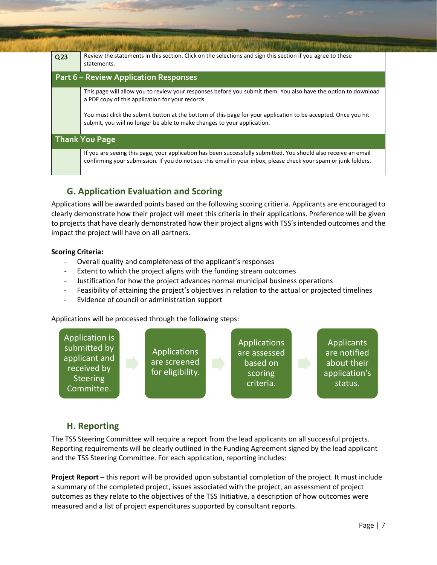| Q <sub>23</sub> | Review the statements in this section. Click on the selections and sign this section if you agree to these<br>statements.                                                                                                          |  |  |
|-----------------|------------------------------------------------------------------------------------------------------------------------------------------------------------------------------------------------------------------------------------|--|--|
|                 | <b>Part 6 – Review Application Responses</b>                                                                                                                                                                                       |  |  |
|                 | This page will allow you to review your responses before you submit them. You also have the option to download<br>a PDF copy of this application for your records.                                                                 |  |  |
|                 | You must click the submit button at the bottom of this page for your application to be accepted. Once you hit<br>submit, you will no longer be able to make changes to your application.                                           |  |  |
|                 | <b>Thank You Page</b>                                                                                                                                                                                                              |  |  |
|                 | If you are seeing this page, your application has been successfully submitted. You should also receive an email<br>confirming your submission. If you do not see this email in your inbox, please check your spam or junk folders. |  |  |

## <span id="page-8-0"></span>**5 G. Application Evaluation and Scoring**

Applications will be awarded points based on the following scoring critieria. Applicants are encouraged to clearly demonstrate how their project will meet this criteria in their applications. Preference will be given to projects that have clearly demonstrated how their project aligns with TSS's intended outcomes and the impact the project will have on all partners.

#### **Scoring Criteria:**

- Overall quality and completeness of the applicant's responses
- Extent to which the project aligns with the funding stream outcomes
- Justification for how the project advances normal municipal business operations
- Feasibility of attaining the project's objectives in relation to the actual or projected timelines
- Evidence of council or administration support

Applications will be processed through the following steps:



#### <span id="page-8-1"></span>**6 H. Reporting**

The TSS Steering Committee will require a report from the lead applicants on all successful projects. Reporting requirements will be clearly outlined in the Funding Agreement signed by the lead applicant and the TSS Steering Committee. For each application, reporting includes:

**Project Report** – this report will be provided upon substantial completion of the project. It must include a summary of the completed project, issues associated with the project, an assessment of project outcomes as they relate to the objectives of the TSS Initiative, a description of how outcomes were measured and a list of project expenditures supported by consultant reports.